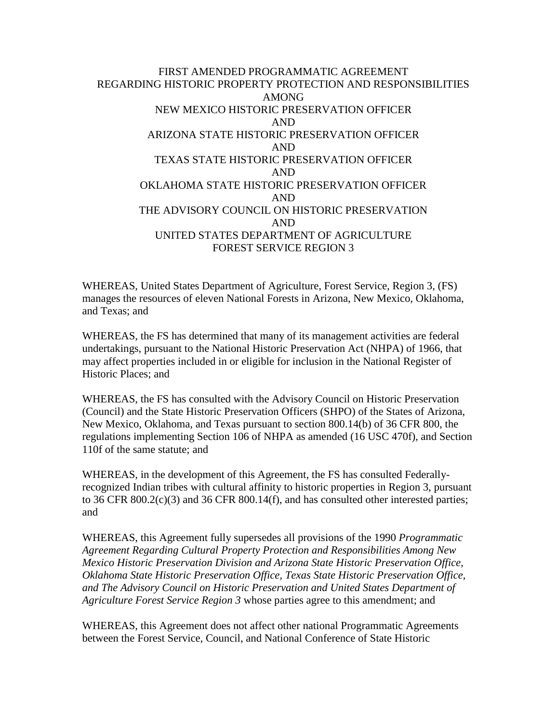## FIRST AMENDED PROGRAMMATIC AGREEMENT REGARDING HISTORIC PROPERTY PROTECTION AND RESPONSIBILITIES AMONG NEW MEXICO HISTORIC PRESERVATION OFFICER AND ARIZONA STATE HISTORIC PRESERVATION OFFICER AND TEXAS STATE HISTORIC PRESERVATION OFFICER AND OKLAHOMA STATE HISTORIC PRESERVATION OFFICER AND THE ADVISORY COUNCIL ON HISTORIC PRESERVATION AND UNITED STATES DEPARTMENT OF AGRICULTURE FOREST SERVICE REGION 3

WHEREAS, United States Department of Agriculture, Forest Service, Region 3, (FS) manages the resources of eleven National Forests in Arizona, New Mexico, Oklahoma, and Texas; and

WHEREAS, the FS has determined that many of its management activities are federal undertakings, pursuant to the National Historic Preservation Act (NHPA) of 1966, that may affect properties included in or eligible for inclusion in the National Register of Historic Places; and

WHEREAS, the FS has consulted with the Advisory Council on Historic Preservation (Council) and the State Historic Preservation Officers (SHPO) of the States of Arizona, New Mexico, Oklahoma, and Texas pursuant to section 800.14(b) of 36 CFR 800, the regulations implementing Section 106 of NHPA as amended (16 USC 470f), and Section 110f of the same statute; and

WHEREAS, in the development of this Agreement, the FS has consulted Federallyrecognized Indian tribes with cultural affinity to historic properties in Region 3, pursuant to 36 CFR 800.2(c)(3) and 36 CFR 800.14(f), and has consulted other interested parties; and

WHEREAS, this Agreement fully supersedes all provisions of the 1990 *Programmatic Agreement Regarding Cultural Property Protection and Responsibilities Among New Mexico Historic Preservation Division and Arizona State Historic Preservation Office, Oklahoma State Historic Preservation Office, Texas State Historic Preservation Office, and The Advisory Council on Historic Preservation and United States Department of Agriculture Forest Service Region 3* whose parties agree to this amendment; and

WHEREAS, this Agreement does not affect other national Programmatic Agreements between the Forest Service, Council, and National Conference of State Historic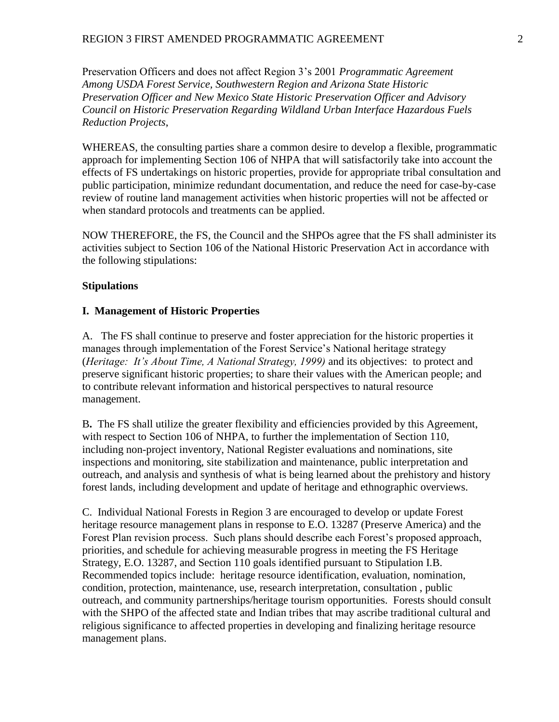Preservation Officers and does not affect Region 3's 2001 *Programmatic Agreement Among USDA Forest Service, Southwestern Region and Arizona State Historic Preservation Officer and New Mexico State Historic Preservation Officer and Advisory Council on Historic Preservation Regarding Wildland Urban Interface Hazardous Fuels Reduction Projects*,

WHEREAS, the consulting parties share a common desire to develop a flexible, programmatic approach for implementing Section 106 of NHPA that will satisfactorily take into account the effects of FS undertakings on historic properties, provide for appropriate tribal consultation and public participation, minimize redundant documentation, and reduce the need for case-by-case review of routine land management activities when historic properties will not be affected or when standard protocols and treatments can be applied.

NOW THEREFORE, the FS, the Council and the SHPOs agree that the FS shall administer its activities subject to Section 106 of the National Historic Preservation Act in accordance with the following stipulations:

#### **Stipulations**

#### **I. Management of Historic Properties**

A. The FS shall continue to preserve and foster appreciation for the historic properties it manages through implementation of the Forest Service's National heritage strategy (*Heritage: It's About Time, A National Strategy, 1999)* and its objectives: to protect and preserve significant historic properties; to share their values with the American people; and to contribute relevant information and historical perspectives to natural resource management.

B**.** The FS shall utilize the greater flexibility and efficiencies provided by this Agreement, with respect to Section 106 of NHPA, to further the implementation of Section 110, including non-project inventory, National Register evaluations and nominations, site inspections and monitoring, site stabilization and maintenance, public interpretation and outreach, and analysis and synthesis of what is being learned about the prehistory and history forest lands, including development and update of heritage and ethnographic overviews.

C. Individual National Forests in Region 3 are encouraged to develop or update Forest heritage resource management plans in response to E.O. 13287 (Preserve America) and the Forest Plan revision process. Such plans should describe each Forest's proposed approach, priorities, and schedule for achieving measurable progress in meeting the FS Heritage Strategy, E.O. 13287, and Section 110 goals identified pursuant to Stipulation I.B. Recommended topics include: heritage resource identification, evaluation, nomination, condition, protection, maintenance, use, research interpretation, consultation , public outreach, and community partnerships/heritage tourism opportunities. Forests should consult with the SHPO of the affected state and Indian tribes that may ascribe traditional cultural and religious significance to affected properties in developing and finalizing heritage resource management plans.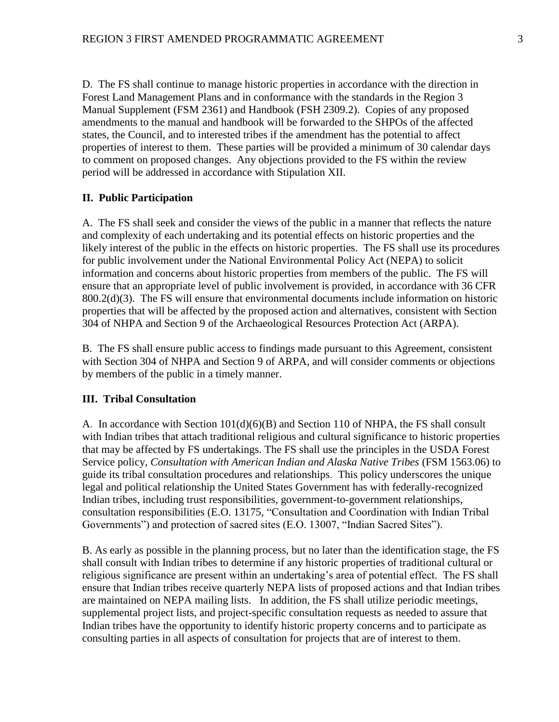D. The FS shall continue to manage historic properties in accordance with the direction in Forest Land Management Plans and in conformance with the standards in the Region 3 Manual Supplement (FSM 2361) and Handbook (FSH 2309.2). Copies of any proposed amendments to the manual and handbook will be forwarded to the SHPOs of the affected states, the Council, and to interested tribes if the amendment has the potential to affect properties of interest to them. These parties will be provided a minimum of 30 calendar days to comment on proposed changes. Any objections provided to the FS within the review period will be addressed in accordance with Stipulation XII.

#### **II. Public Participation**

A. The FS shall seek and consider the views of the public in a manner that reflects the nature and complexity of each undertaking and its potential effects on historic properties and the likely interest of the public in the effects on historic properties. The FS shall use its procedures for public involvement under the National Environmental Policy Act (NEPA) to solicit information and concerns about historic properties from members of the public. The FS will ensure that an appropriate level of public involvement is provided, in accordance with 36 CFR 800.2(d)(3). The FS will ensure that environmental documents include information on historic properties that will be affected by the proposed action and alternatives, consistent with Section 304 of NHPA and Section 9 of the Archaeological Resources Protection Act (ARPA).

B. The FS shall ensure public access to findings made pursuant to this Agreement, consistent with Section 304 of NHPA and Section 9 of ARPA, and will consider comments or objections by members of the public in a timely manner.

#### **III. Tribal Consultation**

A. In accordance with Section 101(d)(6)(B) and Section 110 of NHPA, the FS shall consult with Indian tribes that attach traditional religious and cultural significance to historic properties that may be affected by FS undertakings. The FS shall use the principles in the USDA Forest Service policy, *Consultation with American Indian and Alaska Native Tribes* (FSM 1563.06) to guide its tribal consultation procedures and relationships. This policy underscores the unique legal and political relationship the United States Government has with federally-recognized Indian tribes, including trust responsibilities, government-to-government relationships, consultation responsibilities (E.O. 13175, "Consultation and Coordination with Indian Tribal Governments") and protection of sacred sites (E.O. 13007, "Indian Sacred Sites").

B. As early as possible in the planning process, but no later than the identification stage, the FS shall consult with Indian tribes to determine if any historic properties of traditional cultural or religious significance are present within an undertaking's area of potential effect. The FS shall ensure that Indian tribes receive quarterly NEPA lists of proposed actions and that Indian tribes are maintained on NEPA mailing lists. In addition, the FS shall utilize periodic meetings, supplemental project lists, and project-specific consultation requests as needed to assure that Indian tribes have the opportunity to identify historic property concerns and to participate as consulting parties in all aspects of consultation for projects that are of interest to them.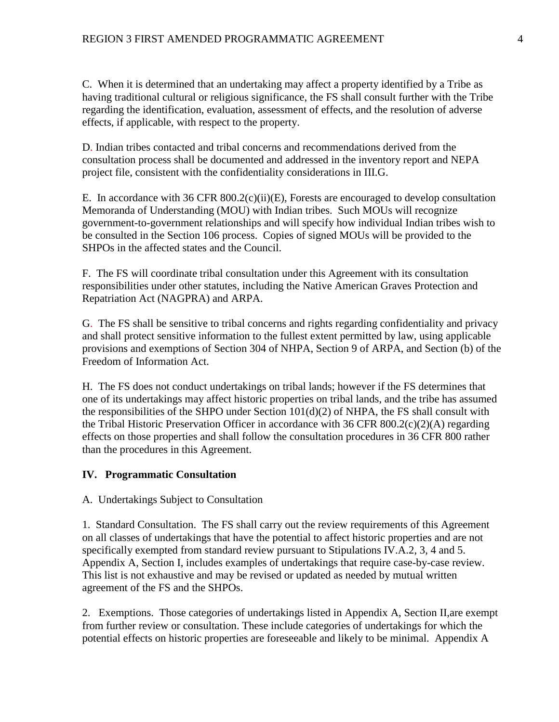C. When it is determined that an undertaking may affect a property identified by a Tribe as having traditional cultural or religious significance, the FS shall consult further with the Tribe regarding the identification, evaluation, assessment of effects, and the resolution of adverse effects, if applicable, with respect to the property.

D. Indian tribes contacted and tribal concerns and recommendations derived from the consultation process shall be documented and addressed in the inventory report and NEPA project file, consistent with the confidentiality considerations in III.G.

E. In accordance with 36 CFR  $800.2(c)(ii)(E)$ , Forests are encouraged to develop consultation Memoranda of Understanding (MOU) with Indian tribes. Such MOUs will recognize government-to-government relationships and will specify how individual Indian tribes wish to be consulted in the Section 106 process. Copies of signed MOUs will be provided to the SHPOs in the affected states and the Council.

F. The FS will coordinate tribal consultation under this Agreement with its consultation responsibilities under other statutes, including the Native American Graves Protection and Repatriation Act (NAGPRA) and ARPA.

G. The FS shall be sensitive to tribal concerns and rights regarding confidentiality and privacy and shall protect sensitive information to the fullest extent permitted by law, using applicable provisions and exemptions of Section 304 of NHPA, Section 9 of ARPA, and Section (b) of the Freedom of Information Act.

H. The FS does not conduct undertakings on tribal lands; however if the FS determines that one of its undertakings may affect historic properties on tribal lands, and the tribe has assumed the responsibilities of the SHPO under Section 101(d)(2) of NHPA, the FS shall consult with the Tribal Historic Preservation Officer in accordance with 36 CFR 800.2(c)(2)(A) regarding effects on those properties and shall follow the consultation procedures in 36 CFR 800 rather than the procedures in this Agreement.

## **IV. Programmatic Consultation**

A. Undertakings Subject to Consultation

1. Standard Consultation. The FS shall carry out the review requirements of this Agreement on all classes of undertakings that have the potential to affect historic properties and are not specifically exempted from standard review pursuant to Stipulations IV.A.2, 3, 4 and 5. Appendix A, Section I, includes examples of undertakings that require case-by-case review. This list is not exhaustive and may be revised or updated as needed by mutual written agreement of the FS and the SHPOs.

2. Exemptions. Those categories of undertakings listed in Appendix A, Section II,are exempt from further review or consultation. These include categories of undertakings for which the potential effects on historic properties are foreseeable and likely to be minimal. Appendix A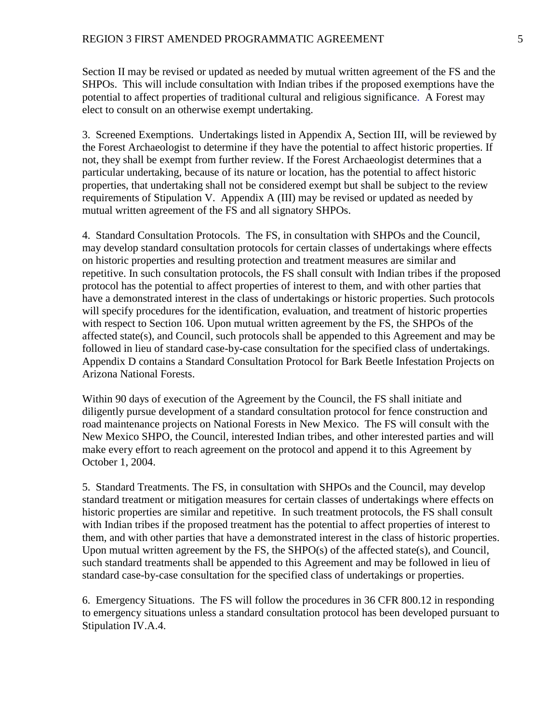Section II may be revised or updated as needed by mutual written agreement of the FS and the SHPOs. This will include consultation with Indian tribes if the proposed exemptions have the potential to affect properties of traditional cultural and religious significance. A Forest may elect to consult on an otherwise exempt undertaking.

3. Screened Exemptions. Undertakings listed in Appendix A, Section III, will be reviewed by the Forest Archaeologist to determine if they have the potential to affect historic properties. If not, they shall be exempt from further review. If the Forest Archaeologist determines that a particular undertaking, because of its nature or location, has the potential to affect historic properties, that undertaking shall not be considered exempt but shall be subject to the review requirements of Stipulation V. Appendix A (III) may be revised or updated as needed by mutual written agreement of the FS and all signatory SHPOs.

4. Standard Consultation Protocols. The FS, in consultation with SHPOs and the Council, may develop standard consultation protocols for certain classes of undertakings where effects on historic properties and resulting protection and treatment measures are similar and repetitive. In such consultation protocols, the FS shall consult with Indian tribes if the proposed protocol has the potential to affect properties of interest to them, and with other parties that have a demonstrated interest in the class of undertakings or historic properties. Such protocols will specify procedures for the identification, evaluation, and treatment of historic properties with respect to Section 106. Upon mutual written agreement by the FS, the SHPOs of the affected state(s), and Council, such protocols shall be appended to this Agreement and may be followed in lieu of standard case-by-case consultation for the specified class of undertakings. Appendix D contains a Standard Consultation Protocol for Bark Beetle Infestation Projects on Arizona National Forests.

Within 90 days of execution of the Agreement by the Council, the FS shall initiate and diligently pursue development of a standard consultation protocol for fence construction and road maintenance projects on National Forests in New Mexico. The FS will consult with the New Mexico SHPO, the Council, interested Indian tribes, and other interested parties and will make every effort to reach agreement on the protocol and append it to this Agreement by October 1, 2004.

5. Standard Treatments. The FS, in consultation with SHPOs and the Council, may develop standard treatment or mitigation measures for certain classes of undertakings where effects on historic properties are similar and repetitive. In such treatment protocols, the FS shall consult with Indian tribes if the proposed treatment has the potential to affect properties of interest to them, and with other parties that have a demonstrated interest in the class of historic properties. Upon mutual written agreement by the FS, the SHPO $(s)$  of the affected state $(s)$ , and Council, such standard treatments shall be appended to this Agreement and may be followed in lieu of standard case-by-case consultation for the specified class of undertakings or properties.

6. Emergency Situations. The FS will follow the procedures in 36 CFR 800.12 in responding to emergency situations unless a standard consultation protocol has been developed pursuant to Stipulation IV.A.4.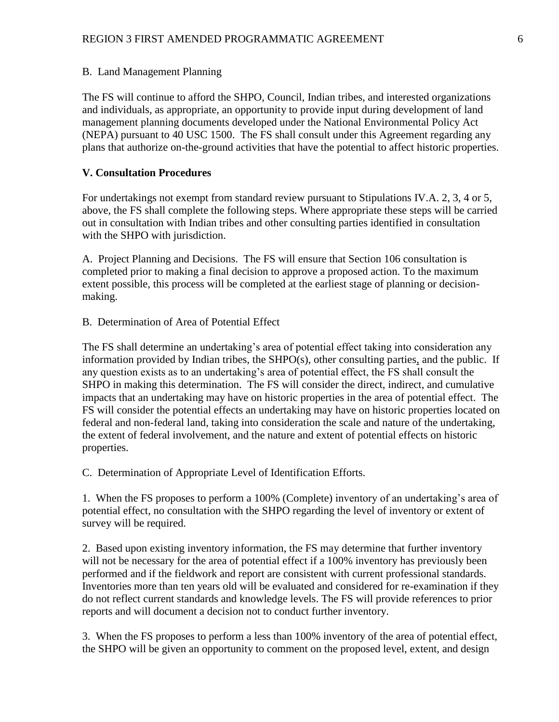#### B. Land Management Planning

The FS will continue to afford the SHPO, Council, Indian tribes, and interested organizations and individuals, as appropriate, an opportunity to provide input during development of land management planning documents developed under the National Environmental Policy Act (NEPA) pursuant to 40 USC 1500. The FS shall consult under this Agreement regarding any plans that authorize on-the-ground activities that have the potential to affect historic properties.

## **V. Consultation Procedures**

For undertakings not exempt from standard review pursuant to Stipulations IV.A. 2, 3, 4 or 5, above, the FS shall complete the following steps. Where appropriate these steps will be carried out in consultation with Indian tribes and other consulting parties identified in consultation with the SHPO with jurisdiction.

A. Project Planning and Decisions. The FS will ensure that Section 106 consultation is completed prior to making a final decision to approve a proposed action. To the maximum extent possible, this process will be completed at the earliest stage of planning or decisionmaking.

B. Determination of Area of Potential Effect

The FS shall determine an undertaking's area of potential effect taking into consideration any information provided by Indian tribes, the SHPO(s), other consulting parties, and the public. If any question exists as to an undertaking's area of potential effect, the FS shall consult the SHPO in making this determination. The FS will consider the direct, indirect, and cumulative impacts that an undertaking may have on historic properties in the area of potential effect. The FS will consider the potential effects an undertaking may have on historic properties located on federal and non-federal land, taking into consideration the scale and nature of the undertaking, the extent of federal involvement, and the nature and extent of potential effects on historic properties.

C. Determination of Appropriate Level of Identification Efforts.

1. When the FS proposes to perform a 100% (Complete) inventory of an undertaking's area of potential effect, no consultation with the SHPO regarding the level of inventory or extent of survey will be required.

2. Based upon existing inventory information, the FS may determine that further inventory will not be necessary for the area of potential effect if a 100% inventory has previously been performed and if the fieldwork and report are consistent with current professional standards. Inventories more than ten years old will be evaluated and considered for re-examination if they do not reflect current standards and knowledge levels. The FS will provide references to prior reports and will document a decision not to conduct further inventory.

3. When the FS proposes to perform a less than 100% inventory of the area of potential effect, the SHPO will be given an opportunity to comment on the proposed level, extent, and design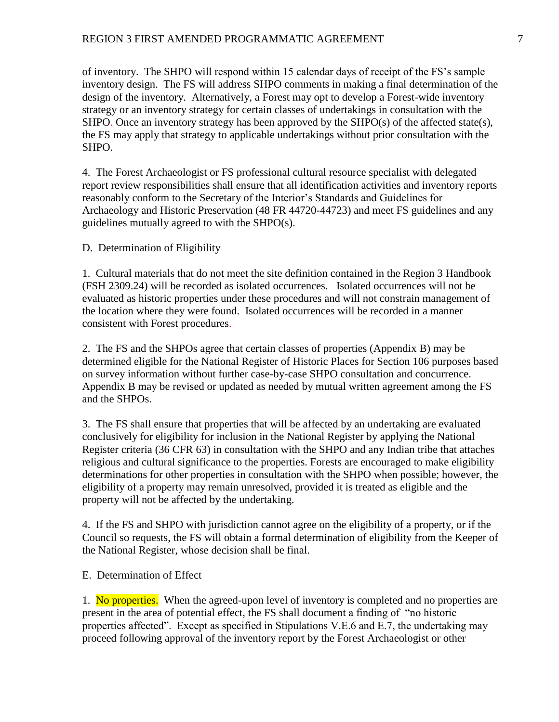of inventory. The SHPO will respond within 15 calendar days of receipt of the FS's sample inventory design. The FS will address SHPO comments in making a final determination of the design of the inventory. Alternatively, a Forest may opt to develop a Forest-wide inventory strategy or an inventory strategy for certain classes of undertakings in consultation with the SHPO. Once an inventory strategy has been approved by the SHPO(s) of the affected state(s), the FS may apply that strategy to applicable undertakings without prior consultation with the SHPO.

4. The Forest Archaeologist or FS professional cultural resource specialist with delegated report review responsibilities shall ensure that all identification activities and inventory reports reasonably conform to the Secretary of the Interior's Standards and Guidelines for Archaeology and Historic Preservation (48 FR 44720-44723) and meet FS guidelines and any guidelines mutually agreed to with the SHPO(s).

D. Determination of Eligibility

1. Cultural materials that do not meet the site definition contained in the Region 3 Handbook (FSH 2309.24) will be recorded as isolated occurrences. Isolated occurrences will not be evaluated as historic properties under these procedures and will not constrain management of the location where they were found. Isolated occurrences will be recorded in a manner consistent with Forest procedures.

2. The FS and the SHPOs agree that certain classes of properties (Appendix B) may be determined eligible for the National Register of Historic Places for Section 106 purposes based on survey information without further case-by-case SHPO consultation and concurrence. Appendix B may be revised or updated as needed by mutual written agreement among the FS and the SHPOs.

3. The FS shall ensure that properties that will be affected by an undertaking are evaluated conclusively for eligibility for inclusion in the National Register by applying the National Register criteria (36 CFR 63) in consultation with the SHPO and any Indian tribe that attaches religious and cultural significance to the properties. Forests are encouraged to make eligibility determinations for other properties in consultation with the SHPO when possible; however, the eligibility of a property may remain unresolved, provided it is treated as eligible and the property will not be affected by the undertaking.

4. If the FS and SHPO with jurisdiction cannot agree on the eligibility of a property, or if the Council so requests, the FS will obtain a formal determination of eligibility from the Keeper of the National Register, whose decision shall be final.

E. Determination of Effect

1. No properties. When the agreed-upon level of inventory is completed and no properties are present in the area of potential effect, the FS shall document a finding of "no historic properties affected". Except as specified in Stipulations V.E.6 and E.7, the undertaking may proceed following approval of the inventory report by the Forest Archaeologist or other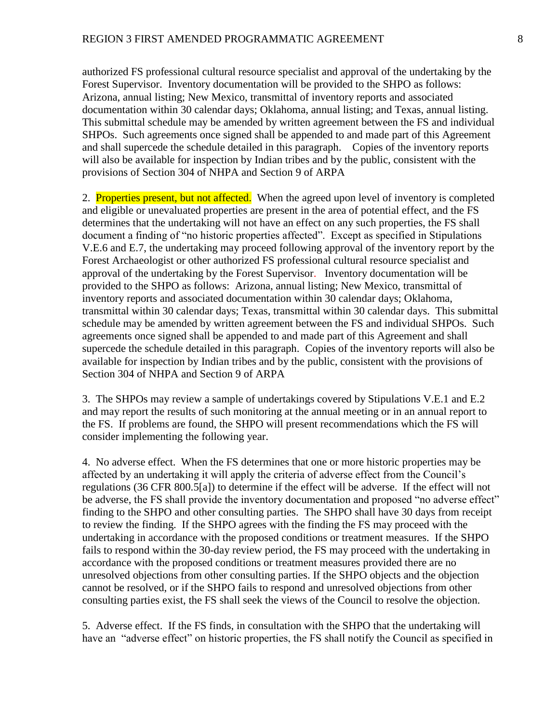authorized FS professional cultural resource specialist and approval of the undertaking by the Forest Supervisor. Inventory documentation will be provided to the SHPO as follows: Arizona, annual listing; New Mexico, transmittal of inventory reports and associated documentation within 30 calendar days; Oklahoma, annual listing; and Texas, annual listing. This submittal schedule may be amended by written agreement between the FS and individual SHPOs. Such agreements once signed shall be appended to and made part of this Agreement and shall supercede the schedule detailed in this paragraph. Copies of the inventory reports will also be available for inspection by Indian tribes and by the public, consistent with the provisions of Section 304 of NHPA and Section 9 of ARPA

2. Properties present, but not affected. When the agreed upon level of inventory is completed and eligible or unevaluated properties are present in the area of potential effect, and the FS determines that the undertaking will not have an effect on any such properties, the FS shall document a finding of "no historic properties affected". Except as specified in Stipulations V.E.6 and E.7, the undertaking may proceed following approval of the inventory report by the Forest Archaeologist or other authorized FS professional cultural resource specialist and approval of the undertaking by the Forest Supervisor. Inventory documentation will be provided to the SHPO as follows: Arizona, annual listing; New Mexico, transmittal of inventory reports and associated documentation within 30 calendar days; Oklahoma, transmittal within 30 calendar days; Texas, transmittal within 30 calendar days. This submittal schedule may be amended by written agreement between the FS and individual SHPOs. Such agreements once signed shall be appended to and made part of this Agreement and shall supercede the schedule detailed in this paragraph. Copies of the inventory reports will also be available for inspection by Indian tribes and by the public, consistent with the provisions of Section 304 of NHPA and Section 9 of ARPA

3. The SHPOs may review a sample of undertakings covered by Stipulations V.E.1 and E.2 and may report the results of such monitoring at the annual meeting or in an annual report to the FS. If problems are found, the SHPO will present recommendations which the FS will consider implementing the following year.

4. No adverse effect. When the FS determines that one or more historic properties may be affected by an undertaking it will apply the criteria of adverse effect from the Council's regulations (36 CFR 800.5[a]) to determine if the effect will be adverse. If the effect will not be adverse, the FS shall provide the inventory documentation and proposed "no adverse effect" finding to the SHPO and other consulting parties. The SHPO shall have 30 days from receipt to review the finding. If the SHPO agrees with the finding the FS may proceed with the undertaking in accordance with the proposed conditions or treatment measures. If the SHPO fails to respond within the 30-day review period, the FS may proceed with the undertaking in accordance with the proposed conditions or treatment measures provided there are no unresolved objections from other consulting parties. If the SHPO objects and the objection cannot be resolved, or if the SHPO fails to respond and unresolved objections from other consulting parties exist, the FS shall seek the views of the Council to resolve the objection.

5. Adverse effect. If the FS finds, in consultation with the SHPO that the undertaking will have an "adverse effect" on historic properties, the FS shall notify the Council as specified in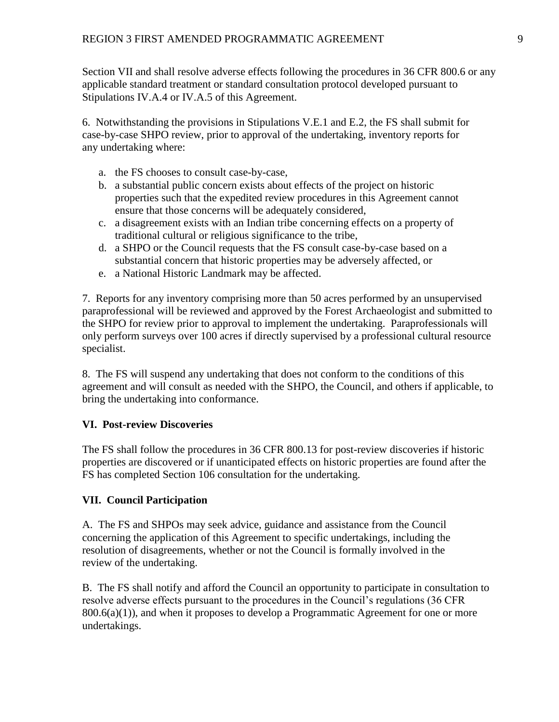Section VII and shall resolve adverse effects following the procedures in 36 CFR 800.6 or any applicable standard treatment or standard consultation protocol developed pursuant to Stipulations IV.A.4 or IV.A.5 of this Agreement.

6. Notwithstanding the provisions in Stipulations V.E.1 and E.2, the FS shall submit for case-by-case SHPO review, prior to approval of the undertaking, inventory reports for any undertaking where:

- a. the FS chooses to consult case-by-case,
- b. a substantial public concern exists about effects of the project on historic properties such that the expedited review procedures in this Agreement cannot ensure that those concerns will be adequately considered,
- c. a disagreement exists with an Indian tribe concerning effects on a property of traditional cultural or religious significance to the tribe,
- d. a SHPO or the Council requests that the FS consult case-by-case based on a substantial concern that historic properties may be adversely affected, or
- e. a National Historic Landmark may be affected.

7. Reports for any inventory comprising more than 50 acres performed by an unsupervised paraprofessional will be reviewed and approved by the Forest Archaeologist and submitted to the SHPO for review prior to approval to implement the undertaking. Paraprofessionals will only perform surveys over 100 acres if directly supervised by a professional cultural resource specialist.

8. The FS will suspend any undertaking that does not conform to the conditions of this agreement and will consult as needed with the SHPO, the Council, and others if applicable, to bring the undertaking into conformance.

## **VI. Post-review Discoveries**

The FS shall follow the procedures in 36 CFR 800.13 for post-review discoveries if historic properties are discovered or if unanticipated effects on historic properties are found after the FS has completed Section 106 consultation for the undertaking.

## **VII. Council Participation**

A. The FS and SHPOs may seek advice, guidance and assistance from the Council concerning the application of this Agreement to specific undertakings, including the resolution of disagreements, whether or not the Council is formally involved in the review of the undertaking.

B. The FS shall notify and afford the Council an opportunity to participate in consultation to resolve adverse effects pursuant to the procedures in the Council's regulations (36 CFR  $800.6(a)(1)$ , and when it proposes to develop a Programmatic Agreement for one or more undertakings.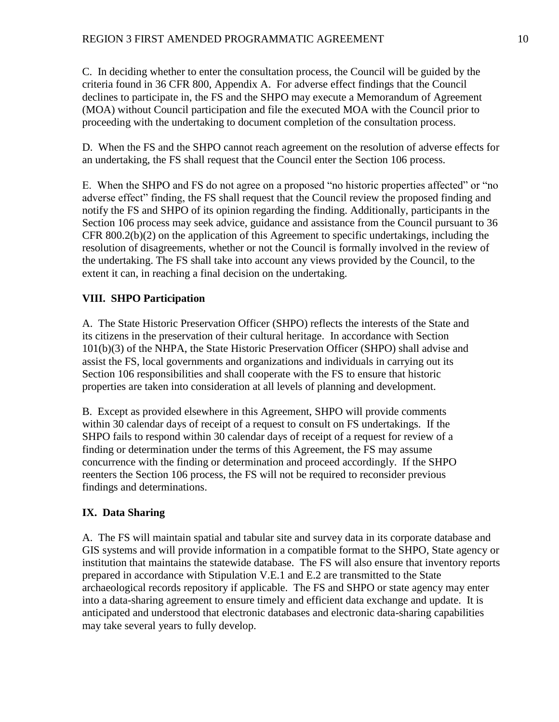C. In deciding whether to enter the consultation process, the Council will be guided by the criteria found in 36 CFR 800, Appendix A. For adverse effect findings that the Council declines to participate in, the FS and the SHPO may execute a Memorandum of Agreement (MOA) without Council participation and file the executed MOA with the Council prior to proceeding with the undertaking to document completion of the consultation process.

D. When the FS and the SHPO cannot reach agreement on the resolution of adverse effects for an undertaking, the FS shall request that the Council enter the Section 106 process.

E. When the SHPO and FS do not agree on a proposed "no historic properties affected" or "no adverse effect" finding, the FS shall request that the Council review the proposed finding and notify the FS and SHPO of its opinion regarding the finding. Additionally, participants in the Section 106 process may seek advice, guidance and assistance from the Council pursuant to 36 CFR 800.2(b)(2) on the application of this Agreement to specific undertakings, including the resolution of disagreements, whether or not the Council is formally involved in the review of the undertaking. The FS shall take into account any views provided by the Council, to the extent it can, in reaching a final decision on the undertaking.

## **VIII. SHPO Participation**

A. The State Historic Preservation Officer (SHPO) reflects the interests of the State and its citizens in the preservation of their cultural heritage. In accordance with Section 101(b)(3) of the NHPA, the State Historic Preservation Officer (SHPO) shall advise and assist the FS, local governments and organizations and individuals in carrying out its Section 106 responsibilities and shall cooperate with the FS to ensure that historic properties are taken into consideration at all levels of planning and development.

B. Except as provided elsewhere in this Agreement, SHPO will provide comments within 30 calendar days of receipt of a request to consult on FS undertakings. If the SHPO fails to respond within 30 calendar days of receipt of a request for review of a finding or determination under the terms of this Agreement, the FS may assume concurrence with the finding or determination and proceed accordingly. If the SHPO reenters the Section 106 process, the FS will not be required to reconsider previous findings and determinations.

## **IX. Data Sharing**

A. The FS will maintain spatial and tabular site and survey data in its corporate database and GIS systems and will provide information in a compatible format to the SHPO, State agency or institution that maintains the statewide database. The FS will also ensure that inventory reports prepared in accordance with Stipulation V.E.1 and E.2 are transmitted to the State archaeological records repository if applicable. The FS and SHPO or state agency may enter into a data-sharing agreement to ensure timely and efficient data exchange and update. It is anticipated and understood that electronic databases and electronic data-sharing capabilities may take several years to fully develop.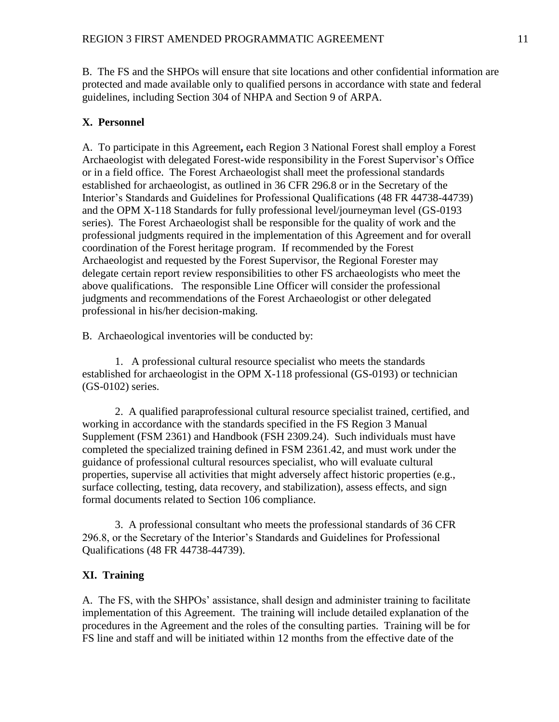B. The FS and the SHPOs will ensure that site locations and other confidential information are protected and made available only to qualified persons in accordance with state and federal guidelines, including Section 304 of NHPA and Section 9 of ARPA.

## **X. Personnel**

A. To participate in this Agreement**,** each Region 3 National Forest shall employ a Forest Archaeologist with delegated Forest-wide responsibility in the Forest Supervisor's Office or in a field office. The Forest Archaeologist shall meet the professional standards established for archaeologist, as outlined in 36 CFR 296.8 or in the Secretary of the Interior's Standards and Guidelines for Professional Qualifications (48 FR 44738-44739) and the OPM X-118 Standards for fully professional level/journeyman level (GS-0193 series). The Forest Archaeologist shall be responsible for the quality of work and the professional judgments required in the implementation of this Agreement and for overall coordination of the Forest heritage program. If recommended by the Forest Archaeologist and requested by the Forest Supervisor, the Regional Forester may delegate certain report review responsibilities to other FS archaeologists who meet the above qualifications.The responsible Line Officer will consider the professional judgments and recommendations of the Forest Archaeologist or other delegated professional in his/her decision-making.

B. Archaeological inventories will be conducted by:

1. A professional cultural resource specialist who meets the standards established for archaeologist in the OPM X-118 professional (GS-0193) or technician (GS-0102) series.

2. A qualified paraprofessional cultural resource specialist trained, certified, and working in accordance with the standards specified in the FS Region 3 Manual Supplement (FSM 2361) and Handbook (FSH 2309.24). Such individuals must have completed the specialized training defined in FSM 2361.42, and must work under the guidance of professional cultural resources specialist, who will evaluate cultural properties, supervise all activities that might adversely affect historic properties (e.g., surface collecting, testing, data recovery, and stabilization), assess effects, and sign formal documents related to Section 106 compliance.

3. A professional consultant who meets the professional standards of 36 CFR 296.8, or the Secretary of the Interior's Standards and Guidelines for Professional Qualifications (48 FR 44738-44739).

## **XI. Training**

A. The FS, with the SHPOs' assistance, shall design and administer training to facilitate implementation of this Agreement. The training will include detailed explanation of the procedures in the Agreement and the roles of the consulting parties. Training will be for FS line and staff and will be initiated within 12 months from the effective date of the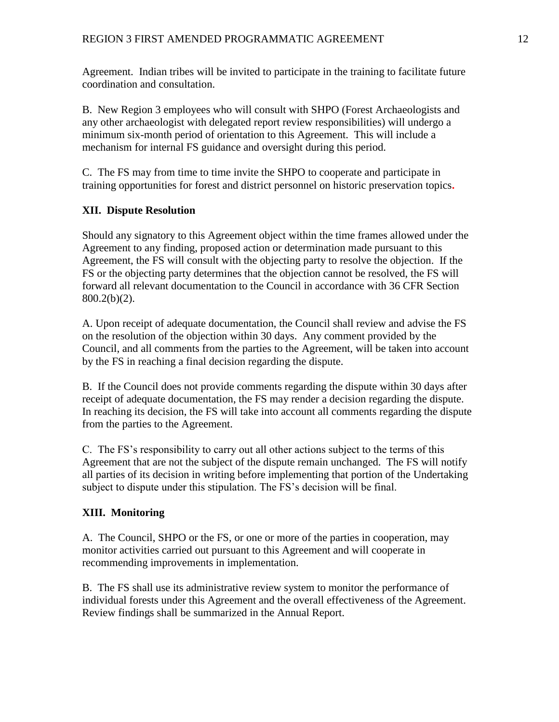Agreement. Indian tribes will be invited to participate in the training to facilitate future coordination and consultation.

B. New Region 3 employees who will consult with SHPO (Forest Archaeologists and any other archaeologist with delegated report review responsibilities) will undergo a minimum six-month period of orientation to this Agreement. This will include a mechanism for internal FS guidance and oversight during this period.

C. The FS may from time to time invite the SHPO to cooperate and participate in training opportunities for forest and district personnel on historic preservation topics**.**

## **XII. Dispute Resolution**

Should any signatory to this Agreement object within the time frames allowed under the Agreement to any finding, proposed action or determination made pursuant to this Agreement, the FS will consult with the objecting party to resolve the objection. If the FS or the objecting party determines that the objection cannot be resolved, the FS will forward all relevant documentation to the Council in accordance with 36 CFR Section 800.2(b)(2).

A. Upon receipt of adequate documentation, the Council shall review and advise the FS on the resolution of the objection within 30 days. Any comment provided by the Council, and all comments from the parties to the Agreement, will be taken into account by the FS in reaching a final decision regarding the dispute.

B. If the Council does not provide comments regarding the dispute within 30 days after receipt of adequate documentation, the FS may render a decision regarding the dispute. In reaching its decision, the FS will take into account all comments regarding the dispute from the parties to the Agreement.

C. The FS's responsibility to carry out all other actions subject to the terms of this Agreement that are not the subject of the dispute remain unchanged. The FS will notify all parties of its decision in writing before implementing that portion of the Undertaking subject to dispute under this stipulation. The FS's decision will be final.

## **XIII. Monitoring**

A. The Council, SHPO or the FS, or one or more of the parties in cooperation, may monitor activities carried out pursuant to this Agreement and will cooperate in recommending improvements in implementation.

B. The FS shall use its administrative review system to monitor the performance of individual forests under this Agreement and the overall effectiveness of the Agreement. Review findings shall be summarized in the Annual Report.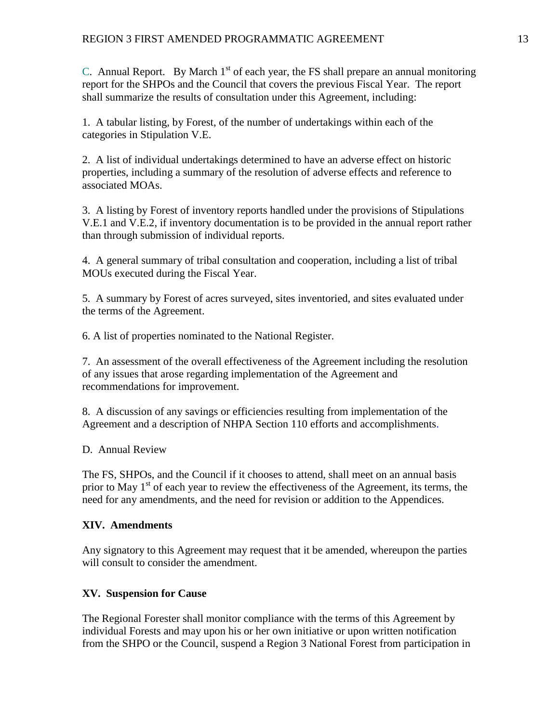C. Annual Report. By March  $1<sup>st</sup>$  of each year, the FS shall prepare an annual monitoring report for the SHPOs and the Council that covers the previous Fiscal Year. The report shall summarize the results of consultation under this Agreement, including:

1. A tabular listing, by Forest, of the number of undertakings within each of the categories in Stipulation V.E.

2. A list of individual undertakings determined to have an adverse effect on historic properties, including a summary of the resolution of adverse effects and reference to associated MOAs.

3. A listing by Forest of inventory reports handled under the provisions of Stipulations V.E.1 and V.E.2, if inventory documentation is to be provided in the annual report rather than through submission of individual reports.

4. A general summary of tribal consultation and cooperation, including a list of tribal MOUs executed during the Fiscal Year.

5. A summary by Forest of acres surveyed, sites inventoried, and sites evaluated under the terms of the Agreement.

6. A list of properties nominated to the National Register.

7. An assessment of the overall effectiveness of the Agreement including the resolution of any issues that arose regarding implementation of the Agreement and recommendations for improvement.

8. A discussion of any savings or efficiencies resulting from implementation of the Agreement and a description of NHPA Section 110 efforts and accomplishments.

D. Annual Review

The FS, SHPOs, and the Council if it chooses to attend, shall meet on an annual basis prior to May  $1<sup>st</sup>$  of each year to review the effectiveness of the Agreement, its terms, the need for any amendments, and the need for revision or addition to the Appendices.

#### **XIV. Amendments**

Any signatory to this Agreement may request that it be amended, whereupon the parties will consult to consider the amendment.

## **XV. Suspension for Cause**

The Regional Forester shall monitor compliance with the terms of this Agreement by individual Forests and may upon his or her own initiative or upon written notification from the SHPO or the Council, suspend a Region 3 National Forest from participation in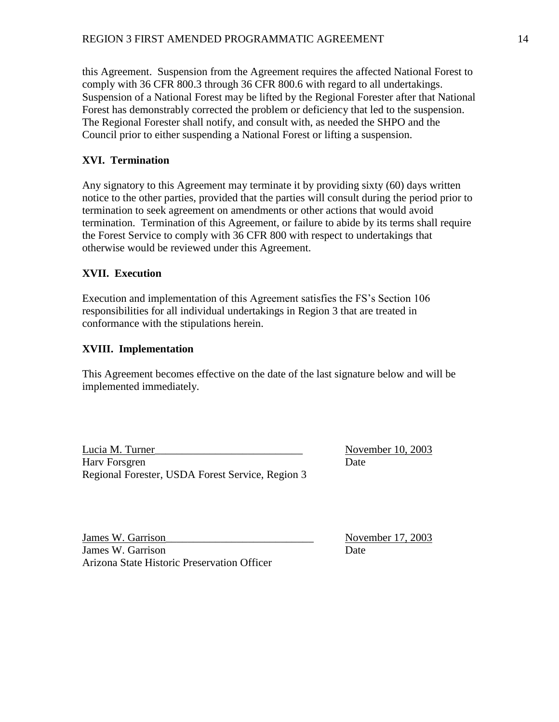this Agreement. Suspension from the Agreement requires the affected National Forest to comply with 36 CFR 800.3 through 36 CFR 800.6 with regard to all undertakings. Suspension of a National Forest may be lifted by the Regional Forester after that National Forest has demonstrably corrected the problem or deficiency that led to the suspension. The Regional Forester shall notify, and consult with, as needed the SHPO and the Council prior to either suspending a National Forest or lifting a suspension.

## **XVI. Termination**

Any signatory to this Agreement may terminate it by providing sixty (60) days written notice to the other parties, provided that the parties will consult during the period prior to termination to seek agreement on amendments or other actions that would avoid termination. Termination of this Agreement, or failure to abide by its terms shall require the Forest Service to comply with 36 CFR 800 with respect to undertakings that otherwise would be reviewed under this Agreement.

## **XVII. Execution**

Execution and implementation of this Agreement satisfies the FS's Section 106 responsibilities for all individual undertakings in Region 3 that are treated in conformance with the stipulations herein.

## **XVIII. Implementation**

This Agreement becomes effective on the date of the last signature below and will be implemented immediately.

Lucia M. Turner\_\_\_\_\_\_\_\_\_\_\_\_\_\_\_\_\_\_\_\_\_\_\_\_\_\_\_ November 10, 2003 Harv Forsgren Date Regional Forester, USDA Forest Service, Region 3

James W. Garrison\_\_\_\_\_\_\_\_\_\_\_\_\_\_\_\_\_\_\_\_\_\_\_\_\_\_\_ November 17, 2003 James W. Garrison Date Arizona State Historic Preservation Officer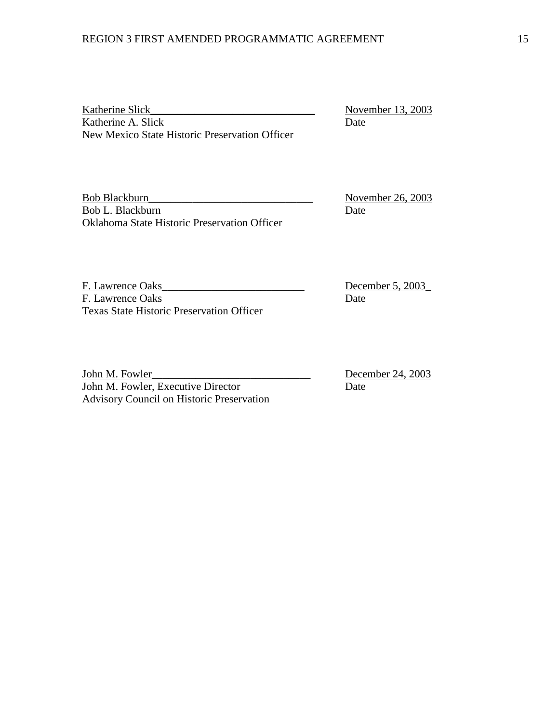Katherine Slick\_\_\_\_\_\_\_\_\_\_\_\_\_\_\_\_\_\_\_\_\_\_\_\_\_\_\_\_\_\_ November 13, 2003 Katherine A. Slick Date New Mexico State Historic Preservation Officer

Bob Blackburn\_\_\_\_\_\_\_\_\_\_\_\_\_\_\_\_\_\_\_\_\_\_\_\_\_\_\_\_\_\_ November 26, 2003 Bob L. Blackburn Date Oklahoma State Historic Preservation Officer

F. Lawrence Oaks\_\_\_\_\_\_\_\_\_\_\_\_\_\_\_\_\_\_\_\_\_\_\_\_\_\_ December 5, 2003\_ F. Lawrence Oaks Date Texas State Historic Preservation Officer

John M. Fowler\_\_\_\_\_\_\_\_\_\_\_\_\_\_\_\_\_\_\_\_\_\_\_\_\_\_\_\_\_ December 24, 2003 John M. Fowler, Executive Director Date Advisory Council on Historic Preservation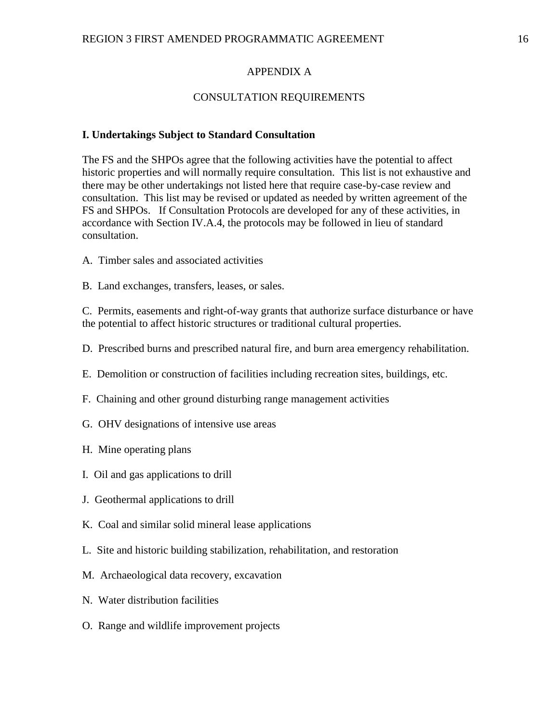#### APPENDIX A

#### CONSULTATION REQUIREMENTS

#### **I. Undertakings Subject to Standard Consultation**

The FS and the SHPOs agree that the following activities have the potential to affect historic properties and will normally require consultation. This list is not exhaustive and there may be other undertakings not listed here that require case-by-case review and consultation. This list may be revised or updated as needed by written agreement of the FS and SHPOs. If Consultation Protocols are developed for any of these activities, in accordance with Section IV.A.4, the protocols may be followed in lieu of standard consultation.

- A. Timber sales and associated activities
- B. Land exchanges, transfers, leases, or sales.

C. Permits, easements and right-of-way grants that authorize surface disturbance or have the potential to affect historic structures or traditional cultural properties.

- D. Prescribed burns and prescribed natural fire, and burn area emergency rehabilitation.
- E. Demolition or construction of facilities including recreation sites, buildings, etc.
- F. Chaining and other ground disturbing range management activities
- G. OHV designations of intensive use areas
- H. Mine operating plans
- I. Oil and gas applications to drill
- J. Geothermal applications to drill
- K. Coal and similar solid mineral lease applications
- L. Site and historic building stabilization, rehabilitation, and restoration
- M. Archaeological data recovery, excavation
- N. Water distribution facilities
- O. Range and wildlife improvement projects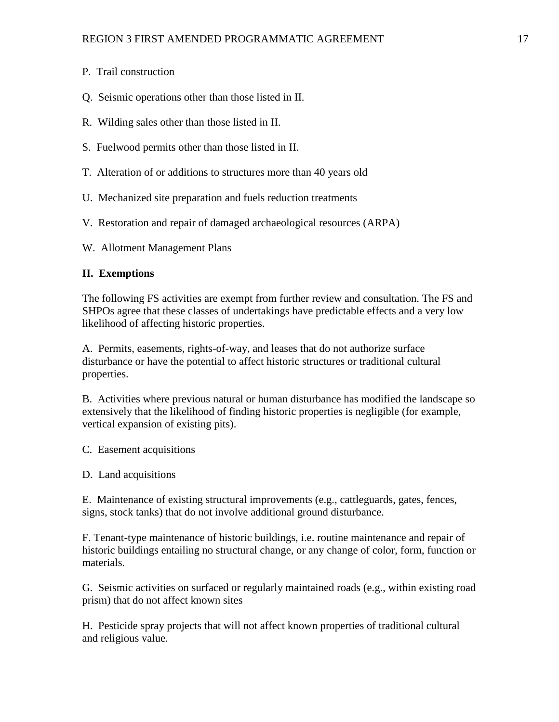- P. Trail construction
- Q. Seismic operations other than those listed in II.
- R. Wilding sales other than those listed in II.
- S. Fuelwood permits other than those listed in II.
- T. Alteration of or additions to structures more than 40 years old
- U. Mechanized site preparation and fuels reduction treatments
- V. Restoration and repair of damaged archaeological resources (ARPA)
- W. Allotment Management Plans

## **II. Exemptions**

The following FS activities are exempt from further review and consultation. The FS and SHPOs agree that these classes of undertakings have predictable effects and a very low likelihood of affecting historic properties.

A. Permits, easements, rights-of-way, and leases that do not authorize surface disturbance or have the potential to affect historic structures or traditional cultural properties.

B. Activities where previous natural or human disturbance has modified the landscape so extensively that the likelihood of finding historic properties is negligible (for example, vertical expansion of existing pits).

C. Easement acquisitions

D. Land acquisitions

E. Maintenance of existing structural improvements (e.g., cattleguards, gates, fences, signs, stock tanks) that do not involve additional ground disturbance.

F. Tenant-type maintenance of historic buildings, i.e. routine maintenance and repair of historic buildings entailing no structural change, or any change of color, form, function or materials.

G. Seismic activities on surfaced or regularly maintained roads (e.g., within existing road prism) that do not affect known sites

H. Pesticide spray projects that will not affect known properties of traditional cultural and religious value.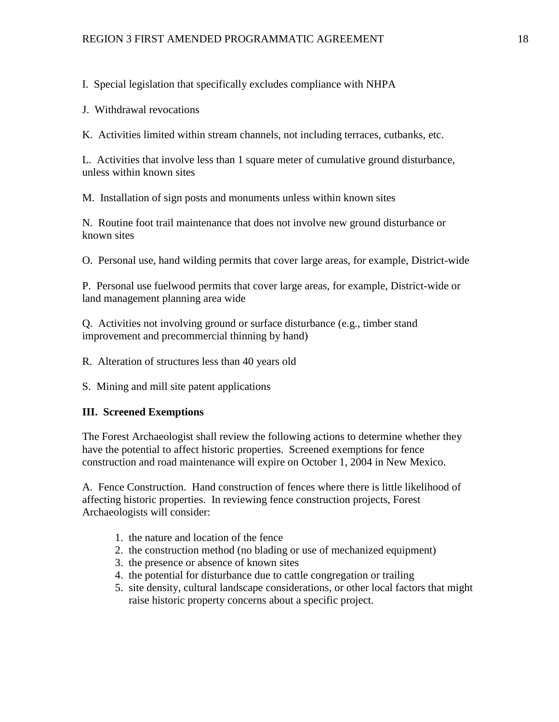I. Special legislation that specifically excludes compliance with NHPA

J. Withdrawal revocations

K. Activities limited within stream channels, not including terraces, cutbanks, etc.

L. Activities that involve less than 1 square meter of cumulative ground disturbance, unless within known sites

M. Installation of sign posts and monuments unless within known sites

N. Routine foot trail maintenance that does not involve new ground disturbance or known sites

O. Personal use, hand wilding permits that cover large areas, for example, District-wide

P. Personal use fuelwood permits that cover large areas, for example, District-wide or land management planning area wide

Q. Activities not involving ground or surface disturbance (e.g., timber stand improvement and precommercial thinning by hand)

R. Alteration of structures less than 40 years old

S. Mining and mill site patent applications

## **III. Screened Exemptions**

The Forest Archaeologist shall review the following actions to determine whether they have the potential to affect historic properties. Screened exemptions for fence construction and road maintenance will expire on October 1, 2004 in New Mexico.

A. Fence Construction. Hand construction of fences where there is little likelihood of affecting historic properties. In reviewing fence construction projects, Forest Archaeologists will consider:

- 1. the nature and location of the fence
- 2. the construction method (no blading or use of mechanized equipment)
- 3. the presence or absence of known sites
- 4. the potential for disturbance due to cattle congregation or trailing
- 5. site density, cultural landscape considerations, or other local factors that might raise historic property concerns about a specific project.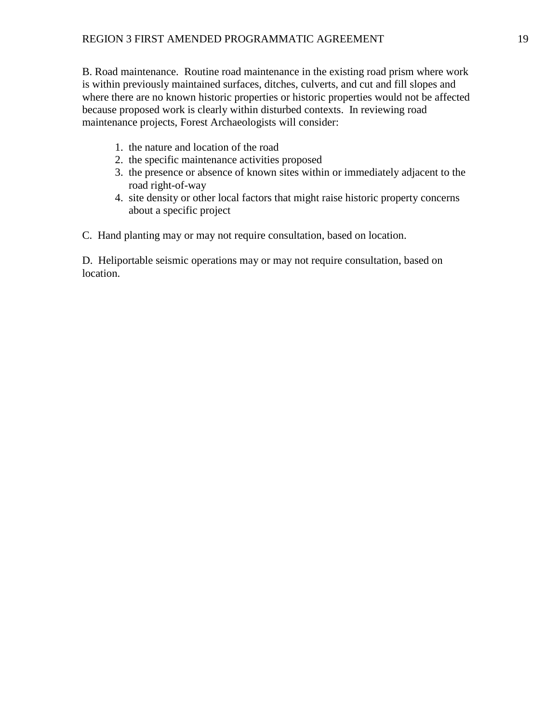B. Road maintenance. Routine road maintenance in the existing road prism where work is within previously maintained surfaces, ditches, culverts, and cut and fill slopes and where there are no known historic properties or historic properties would not be affected because proposed work is clearly within disturbed contexts. In reviewing road maintenance projects, Forest Archaeologists will consider:

- 1. the nature and location of the road
- 2. the specific maintenance activities proposed
- 3. the presence or absence of known sites within or immediately adjacent to the road right-of-way
- 4. site density or other local factors that might raise historic property concerns about a specific project

C. Hand planting may or may not require consultation, based on location.

D. Heliportable seismic operations may or may not require consultation, based on location.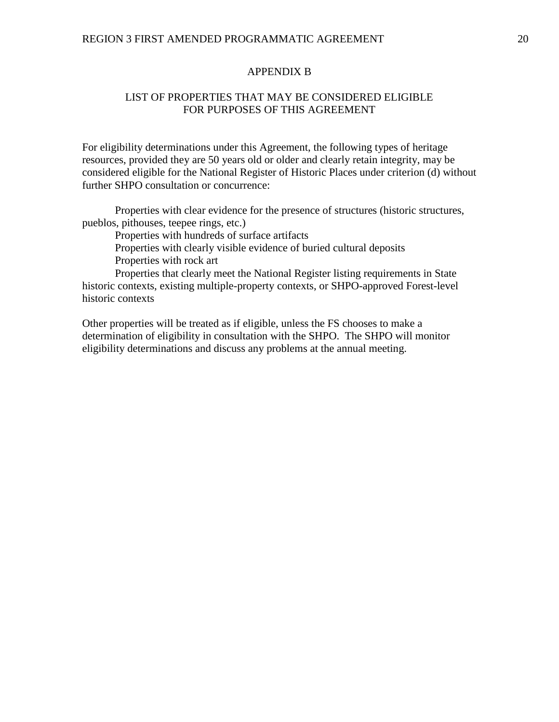#### APPENDIX B

## LIST OF PROPERTIES THAT MAY BE CONSIDERED ELIGIBLE FOR PURPOSES OF THIS AGREEMENT

For eligibility determinations under this Agreement, the following types of heritage resources, provided they are 50 years old or older and clearly retain integrity, may be considered eligible for the National Register of Historic Places under criterion (d) without further SHPO consultation or concurrence:

Properties with clear evidence for the presence of structures (historic structures, pueblos, pithouses, teepee rings, etc.)

Properties with hundreds of surface artifacts

Properties with clearly visible evidence of buried cultural deposits

Properties with rock art

Properties that clearly meet the National Register listing requirements in State historic contexts, existing multiple-property contexts, or SHPO-approved Forest-level historic contexts

Other properties will be treated as if eligible, unless the FS chooses to make a determination of eligibility in consultation with the SHPO. The SHPO will monitor eligibility determinations and discuss any problems at the annual meeting.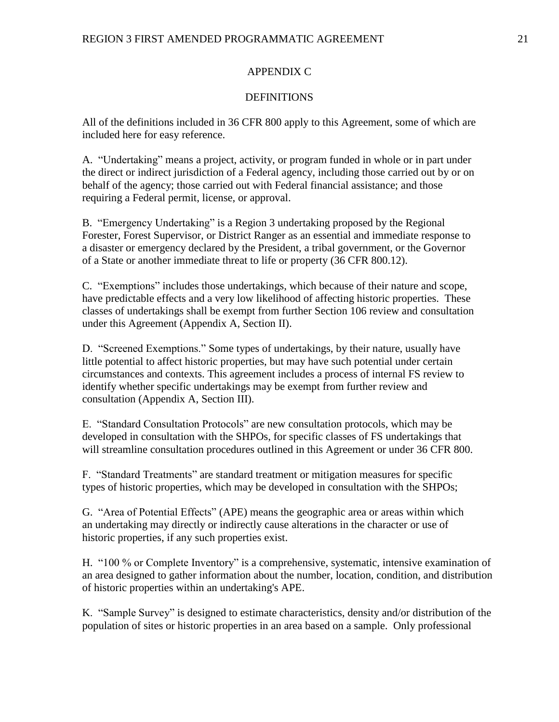## APPENDIX C

#### **DEFINITIONS**

All of the definitions included in 36 CFR 800 apply to this Agreement, some of which are included here for easy reference.

A. "Undertaking" means a project, activity, or program funded in whole or in part under the direct or indirect jurisdiction of a Federal agency, including those carried out by or on behalf of the agency; those carried out with Federal financial assistance; and those requiring a Federal permit, license, or approval.

B. "Emergency Undertaking" is a Region 3 undertaking proposed by the Regional Forester, Forest Supervisor, or District Ranger as an essential and immediate response to a disaster or emergency declared by the President, a tribal government, or the Governor of a State or another immediate threat to life or property (36 CFR 800.12).

C. "Exemptions" includes those undertakings, which because of their nature and scope, have predictable effects and a very low likelihood of affecting historic properties. These classes of undertakings shall be exempt from further Section 106 review and consultation under this Agreement (Appendix A, Section II).

D. "Screened Exemptions." Some types of undertakings, by their nature, usually have little potential to affect historic properties, but may have such potential under certain circumstances and contexts. This agreement includes a process of internal FS review to identify whether specific undertakings may be exempt from further review and consultation (Appendix A, Section III).

E. "Standard Consultation Protocols" are new consultation protocols, which may be developed in consultation with the SHPOs, for specific classes of FS undertakings that will streamline consultation procedures outlined in this Agreement or under 36 CFR 800.

F. "Standard Treatments" are standard treatment or mitigation measures for specific types of historic properties, which may be developed in consultation with the SHPOs;

G. "Area of Potential Effects" (APE) means the geographic area or areas within which an undertaking may directly or indirectly cause alterations in the character or use of historic properties, if any such properties exist.

H. "100 % or Complete Inventory" is a comprehensive, systematic, intensive examination of an area designed to gather information about the number, location, condition, and distribution of historic properties within an undertaking's APE.

K. "Sample Survey" is designed to estimate characteristics, density and/or distribution of the population of sites or historic properties in an area based on a sample. Only professional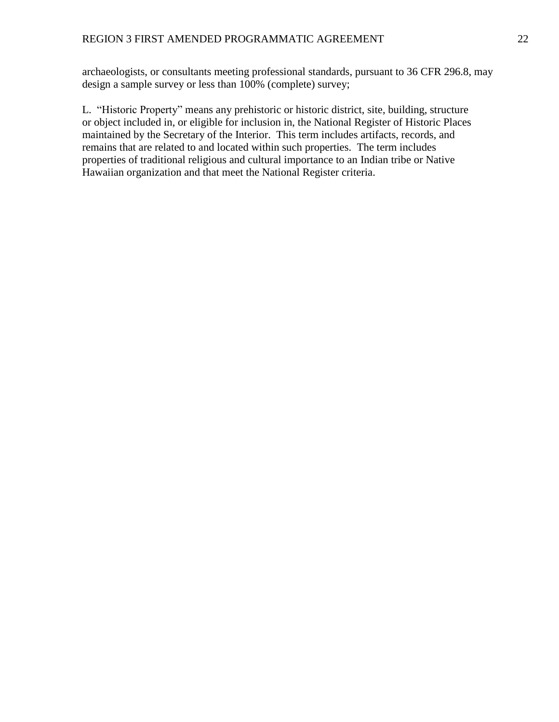archaeologists, or consultants meeting professional standards, pursuant to 36 CFR 296.8, may design a sample survey or less than 100% (complete) survey;

L. "Historic Property" means any prehistoric or historic district, site, building, structure or object included in, or eligible for inclusion in, the National Register of Historic Places maintained by the Secretary of the Interior. This term includes artifacts, records, and remains that are related to and located within such properties. The term includes properties of traditional religious and cultural importance to an Indian tribe or Native Hawaiian organization and that meet the National Register criteria.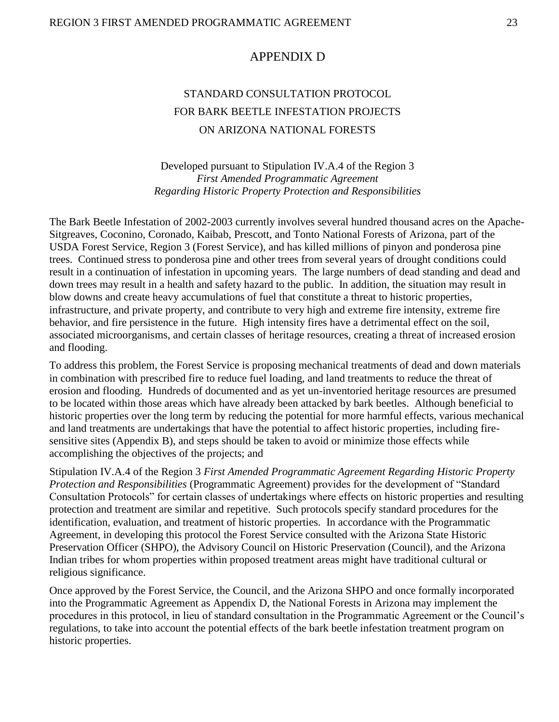## APPENDIX D

# STANDARD CONSULTATION PROTOCOL FOR BARK BEETLE INFESTATION PROJECTS ON ARIZONA NATIONAL FORESTS

Developed pursuant to Stipulation IV.A.4 of the Region 3 *First Amended Programmatic Agreement Regarding Historic Property Protection and Responsibilities*

The Bark Beetle Infestation of 2002-2003 currently involves several hundred thousand acres on the Apache-Sitgreaves, Coconino, Coronado, Kaibab, Prescott, and Tonto National Forests of Arizona, part of the USDA Forest Service, Region 3 (Forest Service), and has killed millions of pinyon and ponderosa pine trees. Continued stress to ponderosa pine and other trees from several years of drought conditions could result in a continuation of infestation in upcoming years. The large numbers of dead standing and dead and down trees may result in a health and safety hazard to the public. In addition, the situation may result in blow downs and create heavy accumulations of fuel that constitute a threat to historic properties, infrastructure, and private property, and contribute to very high and extreme fire intensity, extreme fire behavior, and fire persistence in the future. High intensity fires have a detrimental effect on the soil, associated microorganisms, and certain classes of heritage resources, creating a threat of increased erosion and flooding.

To address this problem, the Forest Service is proposing mechanical treatments of dead and down materials in combination with prescribed fire to reduce fuel loading, and land treatments to reduce the threat of erosion and flooding. Hundreds of documented and as yet un-inventoried heritage resources are presumed to be located within those areas which have already been attacked by bark beetles. Although beneficial to historic properties over the long term by reducing the potential for more harmful effects, various mechanical and land treatments are undertakings that have the potential to affect historic properties, including firesensitive sites (Appendix B), and steps should be taken to avoid or minimize those effects while accomplishing the objectives of the projects; and

Stipulation IV.A.4 of the Region 3 *First Amended Programmatic Agreement Regarding Historic Property Protection and Responsibilities* (Programmatic Agreement) provides for the development of "Standard Consultation Protocols" for certain classes of undertakings where effects on historic properties and resulting protection and treatment are similar and repetitive. Such protocols specify standard procedures for the identification, evaluation, and treatment of historic properties. In accordance with the Programmatic Agreement, in developing this protocol the Forest Service consulted with the Arizona State Historic Preservation Officer (SHPO), the Advisory Council on Historic Preservation (Council), and the Arizona Indian tribes for whom properties within proposed treatment areas might have traditional cultural or religious significance.

Once approved by the Forest Service, the Council, and the Arizona SHPO and once formally incorporated into the Programmatic Agreement as Appendix D, the National Forests in Arizona may implement the procedures in this protocol, in lieu of standard consultation in the Programmatic Agreement or the Council's regulations, to take into account the potential effects of the bark beetle infestation treatment program on historic properties.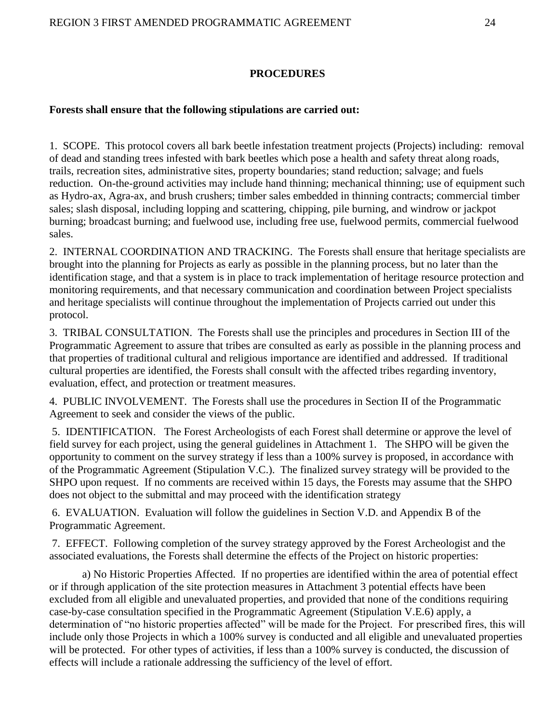#### **PROCEDURES**

#### **Forests shall ensure that the following stipulations are carried out:**

1. SCOPE. This protocol covers all bark beetle infestation treatment projects (Projects) including: removal of dead and standing trees infested with bark beetles which pose a health and safety threat along roads, trails, recreation sites, administrative sites, property boundaries; stand reduction; salvage; and fuels reduction. On-the-ground activities may include hand thinning; mechanical thinning; use of equipment such as Hydro-ax, Agra-ax, and brush crushers; timber sales embedded in thinning contracts; commercial timber sales; slash disposal, including lopping and scattering, chipping, pile burning, and windrow or jackpot burning; broadcast burning; and fuelwood use, including free use, fuelwood permits, commercial fuelwood sales.

2. INTERNAL COORDINATION AND TRACKING. The Forests shall ensure that heritage specialists are brought into the planning for Projects as early as possible in the planning process, but no later than the identification stage, and that a system is in place to track implementation of heritage resource protection and monitoring requirements, and that necessary communication and coordination between Project specialists and heritage specialists will continue throughout the implementation of Projects carried out under this protocol.

3. TRIBAL CONSULTATION. The Forests shall use the principles and procedures in Section III of the Programmatic Agreement to assure that tribes are consulted as early as possible in the planning process and that properties of traditional cultural and religious importance are identified and addressed. If traditional cultural properties are identified, the Forests shall consult with the affected tribes regarding inventory, evaluation, effect, and protection or treatment measures.

4. PUBLIC INVOLVEMENT. The Forests shall use the procedures in Section II of the Programmatic Agreement to seek and consider the views of the public.

5. IDENTIFICATION. The Forest Archeologists of each Forest shall determine or approve the level of field survey for each project, using the general guidelines in Attachment 1. The SHPO will be given the opportunity to comment on the survey strategy if less than a 100% survey is proposed, in accordance with of the Programmatic Agreement (Stipulation V.C.). The finalized survey strategy will be provided to the SHPO upon request. If no comments are received within 15 days, the Forests may assume that the SHPO does not object to the submittal and may proceed with the identification strategy

6. EVALUATION. Evaluation will follow the guidelines in Section V.D. and Appendix B of the Programmatic Agreement.

7. EFFECT. Following completion of the survey strategy approved by the Forest Archeologist and the associated evaluations, the Forests shall determine the effects of the Project on historic properties:

a) No Historic Properties Affected. If no properties are identified within the area of potential effect or if through application of the site protection measures in Attachment 3 potential effects have been excluded from all eligible and unevaluated properties, and provided that none of the conditions requiring case-by-case consultation specified in the Programmatic Agreement (Stipulation V.E.6) apply, a determination of "no historic properties affected" will be made for the Project. For prescribed fires, this will include only those Projects in which a 100% survey is conducted and all eligible and unevaluated properties will be protected. For other types of activities, if less than a 100% survey is conducted, the discussion of effects will include a rationale addressing the sufficiency of the level of effort.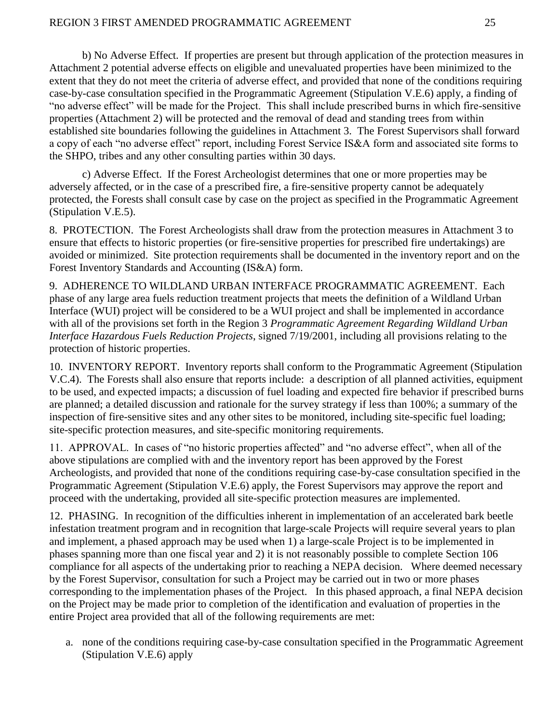b) No Adverse Effect. If properties are present but through application of the protection measures in Attachment 2 potential adverse effects on eligible and unevaluated properties have been minimized to the extent that they do not meet the criteria of adverse effect, and provided that none of the conditions requiring case-by-case consultation specified in the Programmatic Agreement (Stipulation V.E.6) apply, a finding of "no adverse effect" will be made for the Project. This shall include prescribed burns in which fire-sensitive properties (Attachment 2) will be protected and the removal of dead and standing trees from within established site boundaries following the guidelines in Attachment 3. The Forest Supervisors shall forward a copy of each "no adverse effect" report, including Forest Service IS&A form and associated site forms to the SHPO, tribes and any other consulting parties within 30 days.

c) Adverse Effect. If the Forest Archeologist determines that one or more properties may be adversely affected, or in the case of a prescribed fire, a fire-sensitive property cannot be adequately protected, the Forests shall consult case by case on the project as specified in the Programmatic Agreement (Stipulation V.E.5).

8. PROTECTION. The Forest Archeologists shall draw from the protection measures in Attachment 3 to ensure that effects to historic properties (or fire-sensitive properties for prescribed fire undertakings) are avoided or minimized. Site protection requirements shall be documented in the inventory report and on the Forest Inventory Standards and Accounting (IS&A) form.

9. ADHERENCE TO WILDLAND URBAN INTERFACE PROGRAMMATIC AGREEMENT. Each phase of any large area fuels reduction treatment projects that meets the definition of a Wildland Urban Interface (WUI) project will be considered to be a WUI project and shall be implemented in accordance with all of the provisions set forth in the Region 3 *Programmatic Agreement Regarding Wildland Urban Interface Hazardous Fuels Reduction Projects*, signed 7/19/2001, including all provisions relating to the protection of historic properties.

10. INVENTORY REPORT. Inventory reports shall conform to the Programmatic Agreement (Stipulation V.C.4). The Forests shall also ensure that reports include: a description of all planned activities, equipment to be used, and expected impacts; a discussion of fuel loading and expected fire behavior if prescribed burns are planned; a detailed discussion and rationale for the survey strategy if less than 100%; a summary of the inspection of fire-sensitive sites and any other sites to be monitored, including site-specific fuel loading; site-specific protection measures, and site-specific monitoring requirements.

11. APPROVAL. In cases of "no historic properties affected" and "no adverse effect", when all of the above stipulations are complied with and the inventory report has been approved by the Forest Archeologists, and provided that none of the conditions requiring case-by-case consultation specified in the Programmatic Agreement (Stipulation V.E.6) apply, the Forest Supervisors may approve the report and proceed with the undertaking, provided all site-specific protection measures are implemented.

12. PHASING. In recognition of the difficulties inherent in implementation of an accelerated bark beetle infestation treatment program and in recognition that large-scale Projects will require several years to plan and implement, a phased approach may be used when 1) a large-scale Project is to be implemented in phases spanning more than one fiscal year and 2) it is not reasonably possible to complete Section 106 compliance for all aspects of the undertaking prior to reaching a NEPA decision. Where deemed necessary by the Forest Supervisor, consultation for such a Project may be carried out in two or more phases corresponding to the implementation phases of the Project. In this phased approach, a final NEPA decision on the Project may be made prior to completion of the identification and evaluation of properties in the entire Project area provided that all of the following requirements are met:

a. none of the conditions requiring case-by-case consultation specified in the Programmatic Agreement (Stipulation V.E.6) apply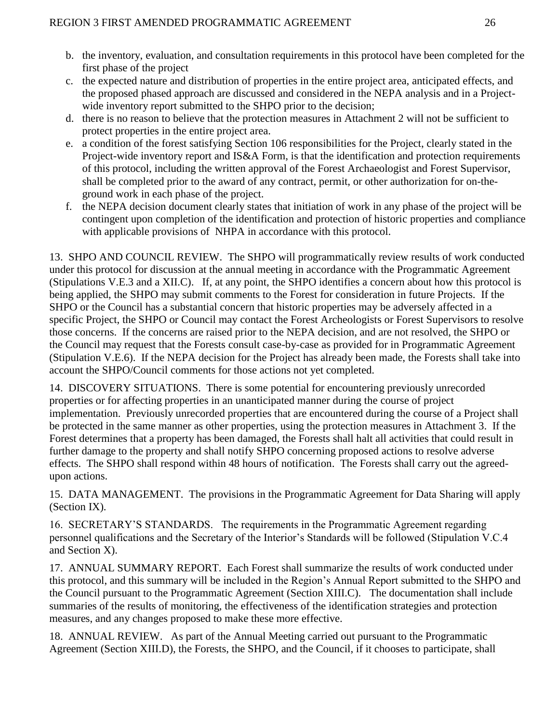- b. the inventory, evaluation, and consultation requirements in this protocol have been completed for the first phase of the project
- c. the expected nature and distribution of properties in the entire project area, anticipated effects, and the proposed phased approach are discussed and considered in the NEPA analysis and in a Projectwide inventory report submitted to the SHPO prior to the decision;
- d. there is no reason to believe that the protection measures in Attachment 2 will not be sufficient to protect properties in the entire project area.
- e. a condition of the forest satisfying Section 106 responsibilities for the Project, clearly stated in the Project-wide inventory report and IS&A Form, is that the identification and protection requirements of this protocol, including the written approval of the Forest Archaeologist and Forest Supervisor, shall be completed prior to the award of any contract, permit, or other authorization for on-theground work in each phase of the project.
- f. the NEPA decision document clearly states that initiation of work in any phase of the project will be contingent upon completion of the identification and protection of historic properties and compliance with applicable provisions of NHPA in accordance with this protocol.

13. SHPO AND COUNCIL REVIEW. The SHPO will programmatically review results of work conducted under this protocol for discussion at the annual meeting in accordance with the Programmatic Agreement (Stipulations V.E.3 and a XII.C). If, at any point, the SHPO identifies a concern about how this protocol is being applied, the SHPO may submit comments to the Forest for consideration in future Projects. If the SHPO or the Council has a substantial concern that historic properties may be adversely affected in a specific Project, the SHPO or Council may contact the Forest Archeologists or Forest Supervisors to resolve those concerns. If the concerns are raised prior to the NEPA decision, and are not resolved, the SHPO or the Council may request that the Forests consult case-by-case as provided for in Programmatic Agreement (Stipulation V.E.6). If the NEPA decision for the Project has already been made, the Forests shall take into account the SHPO/Council comments for those actions not yet completed.

14. DISCOVERY SITUATIONS. There is some potential for encountering previously unrecorded properties or for affecting properties in an unanticipated manner during the course of project implementation. Previously unrecorded properties that are encountered during the course of a Project shall be protected in the same manner as other properties, using the protection measures in Attachment 3. If the Forest determines that a property has been damaged, the Forests shall halt all activities that could result in further damage to the property and shall notify SHPO concerning proposed actions to resolve adverse effects. The SHPO shall respond within 48 hours of notification. The Forests shall carry out the agreedupon actions.

15. DATA MANAGEMENT. The provisions in the Programmatic Agreement for Data Sharing will apply (Section IX).

16. SECRETARY'S STANDARDS. The requirements in the Programmatic Agreement regarding personnel qualifications and the Secretary of the Interior's Standards will be followed (Stipulation V.C.4 and Section X).

17. ANNUAL SUMMARY REPORT. Each Forest shall summarize the results of work conducted under this protocol, and this summary will be included in the Region's Annual Report submitted to the SHPO and the Council pursuant to the Programmatic Agreement (Section XIII.C). The documentation shall include summaries of the results of monitoring, the effectiveness of the identification strategies and protection measures, and any changes proposed to make these more effective.

18. ANNUAL REVIEW. As part of the Annual Meeting carried out pursuant to the Programmatic Agreement (Section XIII.D), the Forests, the SHPO, and the Council, if it chooses to participate, shall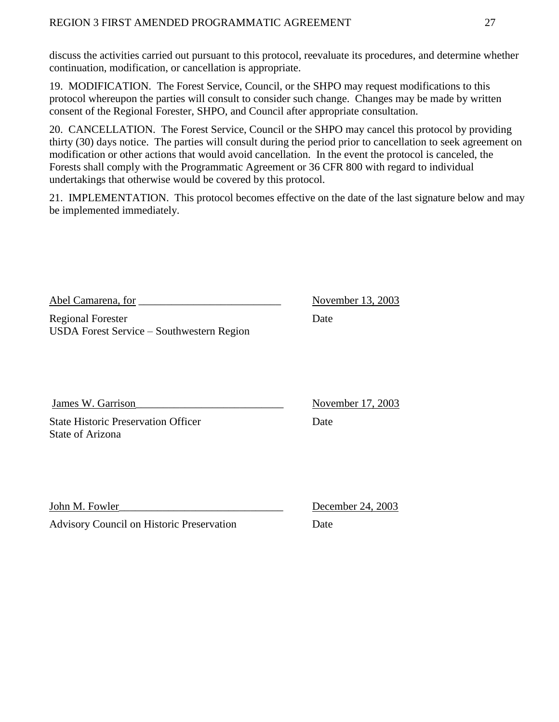## REGION 3 FIRST AMENDED PROGRAMMATIC AGREEMENT 27

discuss the activities carried out pursuant to this protocol, reevaluate its procedures, and determine whether continuation, modification, or cancellation is appropriate.

19. MODIFICATION. The Forest Service, Council, or the SHPO may request modifications to this protocol whereupon the parties will consult to consider such change. Changes may be made by written consent of the Regional Forester, SHPO, and Council after appropriate consultation.

20. CANCELLATION. The Forest Service, Council or the SHPO may cancel this protocol by providing thirty (30) days notice. The parties will consult during the period prior to cancellation to seek agreement on modification or other actions that would avoid cancellation. In the event the protocol is canceled, the Forests shall comply with the Programmatic Agreement or 36 CFR 800 with regard to individual undertakings that otherwise would be covered by this protocol.

21. IMPLEMENTATION. This protocol becomes effective on the date of the last signature below and may be implemented immediately.

Abel Camarena, for \_\_\_\_\_\_\_\_\_\_\_\_\_\_\_\_\_\_\_\_\_\_\_\_\_\_ November 13, 2003

Regional Forester Date USDA Forest Service – Southwestern Region

**State Historic Preservation Officer** Date State of Arizona

James W. Garrison\_\_\_\_\_\_\_\_\_\_\_\_\_\_\_\_\_\_\_\_\_\_\_\_\_\_\_ November 17, 2003

John M. Fowler\_\_\_\_\_\_\_\_\_\_\_\_\_\_\_\_\_\_\_\_\_\_\_\_\_\_\_\_\_\_ December 24, 2003

Advisory Council on Historic Preservation Date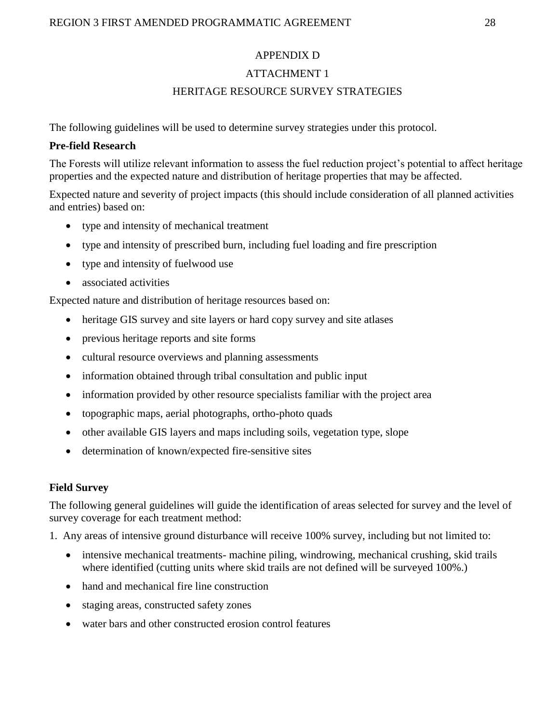#### APPENDIX D

#### ATTACHMENT 1

#### HERITAGE RESOURCE SURVEY STRATEGIES

The following guidelines will be used to determine survey strategies under this protocol.

#### **Pre-field Research**

The Forests will utilize relevant information to assess the fuel reduction project's potential to affect heritage properties and the expected nature and distribution of heritage properties that may be affected.

Expected nature and severity of project impacts (this should include consideration of all planned activities and entries) based on:

- type and intensity of mechanical treatment
- type and intensity of prescribed burn, including fuel loading and fire prescription
- type and intensity of fuelwood use
- associated activities

Expected nature and distribution of heritage resources based on:

- heritage GIS survey and site layers or hard copy survey and site atlases
- previous heritage reports and site forms
- cultural resource overviews and planning assessments
- information obtained through tribal consultation and public input
- information provided by other resource specialists familiar with the project area
- topographic maps, aerial photographs, ortho-photo quads
- other available GIS layers and maps including soils, vegetation type, slope
- determination of known/expected fire-sensitive sites

#### **Field Survey**

The following general guidelines will guide the identification of areas selected for survey and the level of survey coverage for each treatment method:

1. Any areas of intensive ground disturbance will receive 100% survey, including but not limited to:

- intensive mechanical treatments- machine piling, windrowing, mechanical crushing, skid trails where identified (cutting units where skid trails are not defined will be surveyed 100%.)
- hand and mechanical fire line construction
- staging areas, constructed safety zones
- water bars and other constructed erosion control features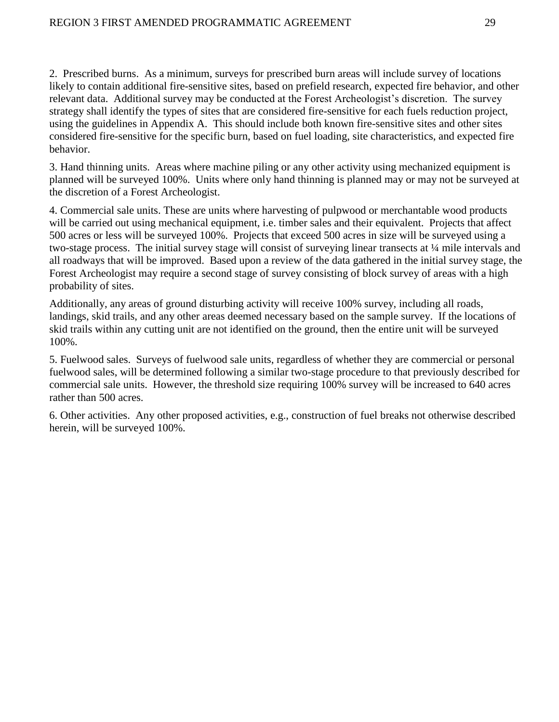2. Prescribed burns. As a minimum, surveys for prescribed burn areas will include survey of locations likely to contain additional fire-sensitive sites, based on prefield research, expected fire behavior, and other relevant data. Additional survey may be conducted at the Forest Archeologist's discretion. The survey strategy shall identify the types of sites that are considered fire-sensitive for each fuels reduction project, using the guidelines in Appendix A. This should include both known fire-sensitive sites and other sites considered fire-sensitive for the specific burn, based on fuel loading, site characteristics, and expected fire behavior.

3. Hand thinning units. Areas where machine piling or any other activity using mechanized equipment is planned will be surveyed 100%. Units where only hand thinning is planned may or may not be surveyed at the discretion of a Forest Archeologist.

4. Commercial sale units. These are units where harvesting of pulpwood or merchantable wood products will be carried out using mechanical equipment, i.e. timber sales and their equivalent. Projects that affect 500 acres or less will be surveyed 100%. Projects that exceed 500 acres in size will be surveyed using a two-stage process. The initial survey stage will consist of surveying linear transects at ¼ mile intervals and all roadways that will be improved. Based upon a review of the data gathered in the initial survey stage, the Forest Archeologist may require a second stage of survey consisting of block survey of areas with a high probability of sites.

Additionally, any areas of ground disturbing activity will receive 100% survey, including all roads, landings, skid trails, and any other areas deemed necessary based on the sample survey. If the locations of skid trails within any cutting unit are not identified on the ground, then the entire unit will be surveyed 100%.

5. Fuelwood sales. Surveys of fuelwood sale units, regardless of whether they are commercial or personal fuelwood sales, will be determined following a similar two-stage procedure to that previously described for commercial sale units. However, the threshold size requiring 100% survey will be increased to 640 acres rather than 500 acres.

6. Other activities. Any other proposed activities, e.g., construction of fuel breaks not otherwise described herein, will be surveyed 100%.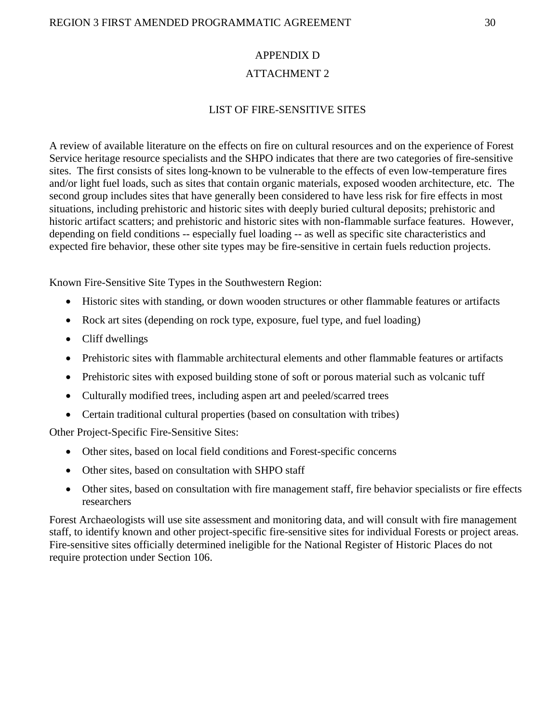## APPENDIX D ATTACHMENT 2

## LIST OF FIRE-SENSITIVE SITES

A review of available literature on the effects on fire on cultural resources and on the experience of Forest Service heritage resource specialists and the SHPO indicates that there are two categories of fire-sensitive sites. The first consists of sites long-known to be vulnerable to the effects of even low-temperature fires and/or light fuel loads, such as sites that contain organic materials, exposed wooden architecture, etc. The second group includes sites that have generally been considered to have less risk for fire effects in most situations, including prehistoric and historic sites with deeply buried cultural deposits; prehistoric and historic artifact scatters; and prehistoric and historic sites with non-flammable surface features. However, depending on field conditions -- especially fuel loading -- as well as specific site characteristics and expected fire behavior, these other site types may be fire-sensitive in certain fuels reduction projects.

Known Fire-Sensitive Site Types in the Southwestern Region:

- Historic sites with standing, or down wooden structures or other flammable features or artifacts
- Rock art sites (depending on rock type, exposure, fuel type, and fuel loading)
- Cliff dwellings
- Prehistoric sites with flammable architectural elements and other flammable features or artifacts
- Prehistoric sites with exposed building stone of soft or porous material such as volcanic tuff
- Culturally modified trees, including aspen art and peeled/scarred trees
- Certain traditional cultural properties (based on consultation with tribes)

Other Project-Specific Fire-Sensitive Sites:

- Other sites, based on local field conditions and Forest-specific concerns
- Other sites, based on consultation with SHPO staff
- Other sites, based on consultation with fire management staff, fire behavior specialists or fire effects researchers

Forest Archaeologists will use site assessment and monitoring data, and will consult with fire management staff, to identify known and other project-specific fire-sensitive sites for individual Forests or project areas. Fire-sensitive sites officially determined ineligible for the National Register of Historic Places do not require protection under Section 106.